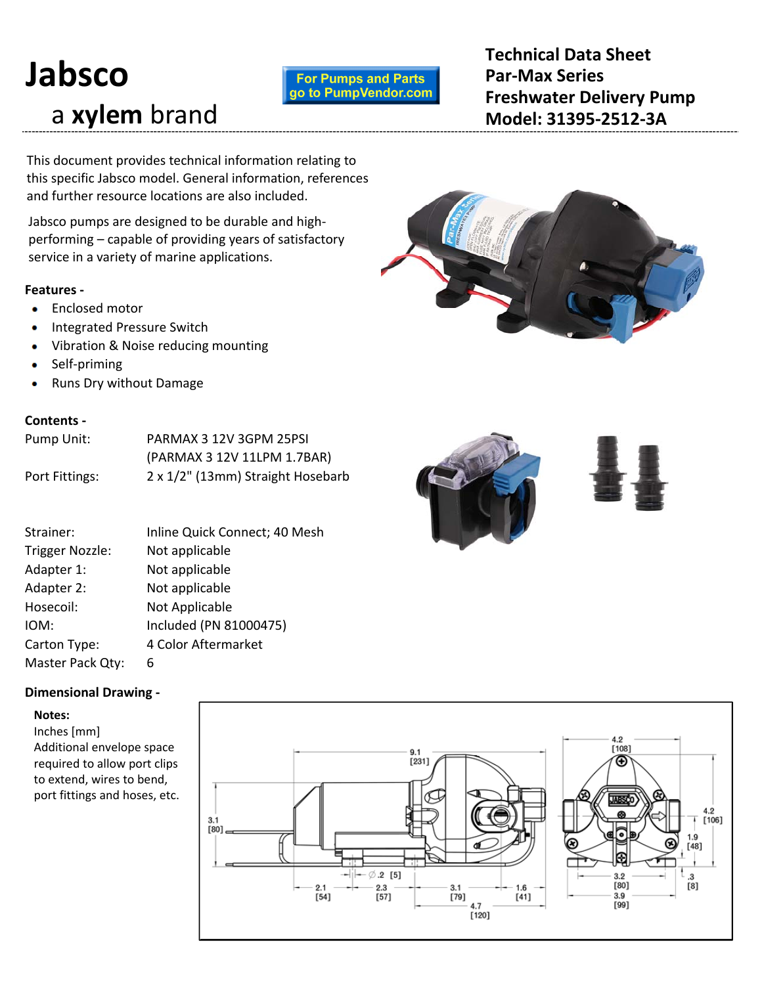# **Jabsco** a **xylem** brand

# **For Pumps and Parts** go to PumpVendor.com

**Technical Data Sheet Par‐Max Series Freshwater Delivery Pump Model: 31395‐2512‐3A**

This document provides technical information relating to this specific Jabsco model. General information, references and further resource locations are also included.

Jabsco pumps are designed to be durable and high‐ performing – capable of providing years of satisfactory service in a variety of marine applications.

# **Features ‐**

- **•** Enclosed motor
- Integrated Pressure Switch
- Vibration & Noise reducing mounting ۰
- Self‐priming  $\bullet$
- Runs Dry without Damage ۰

# **Contents ‐**

| Pump Unit:     | PARMAX 3 12V 3GPM 25PSI           |
|----------------|-----------------------------------|
|                | (PARMAX 3 12V 11LPM 1.7BAR)       |
| Port Fittings: | 2 x 1/2" (13mm) Straight Hosebarb |

| Strainer:              | Inline Quick Connect; 40 Mesh |
|------------------------|-------------------------------|
| <b>Trigger Nozzle:</b> | Not applicable                |
| Adapter 1:             | Not applicable                |
| Adapter 2:             | Not applicable                |
| Hosecoil:              | Not Applicable                |
| IOM:                   | Included (PN 81000475)        |
| Carton Type:           | 4 Color Aftermarket           |
| Master Pack Qty:       | 6                             |

# **Dimensional Drawing ‐**

## **Notes:**

Inches [mm] Additional envelope space required to allow port clips to extend, wires to bend, port fittings and hoses, etc.





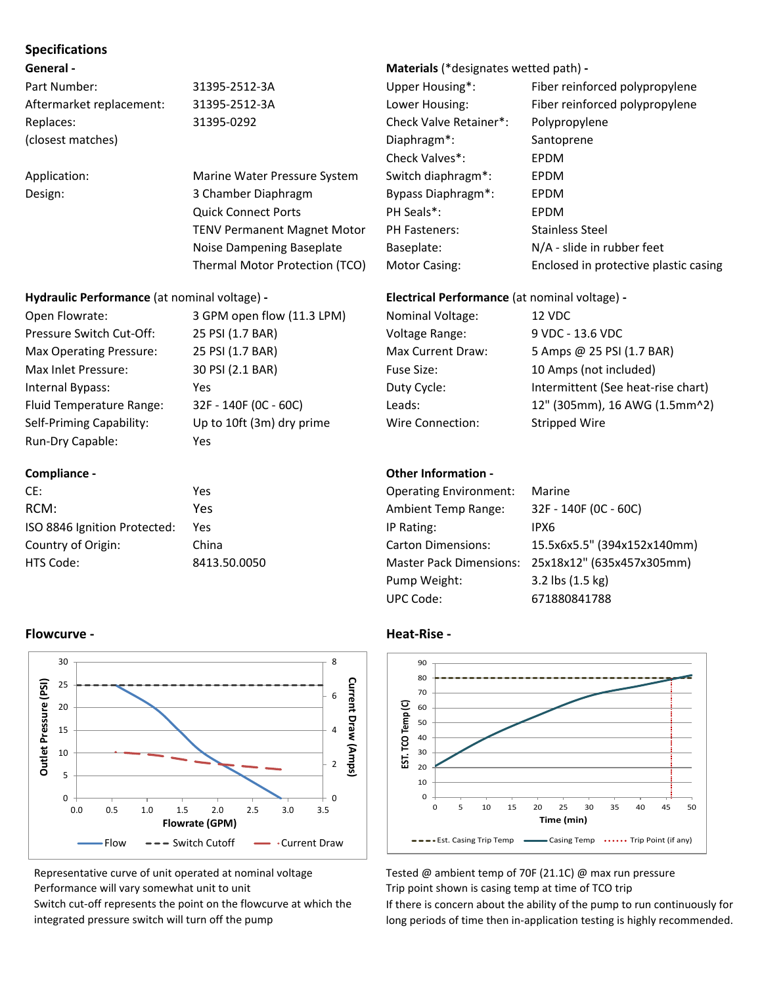# **Specifications**

| Part Number:             | 31395-251 |
|--------------------------|-----------|
| Aftermarket replacement: | 31395-251 |
| Replaces:                | 31395-029 |
| (closest matches)        |           |

# **Hydraulic Performance** (at nominal voltage) **‐ Electrical Performance** (at nominal voltage) **‐**

| Open Flowrate:           | 3 GPM open flow (11.3 LPM) | <b>Nominal Voltage:</b>  | 12 VDC                             |
|--------------------------|----------------------------|--------------------------|------------------------------------|
| Pressure Switch Cut-Off: | 25 PSI (1.7 BAR)           | Voltage Range:           | 9 VDC - 13.6 VDC                   |
| Max Operating Pressure:  | 25 PSI (1.7 BAR)           | <b>Max Current Draw:</b> | 5 Amps @ 25 PSI (1.7 BAR)          |
| Max Inlet Pressure:      | 30 PSI (2.1 BAR)           | Fuse Size:               | 10 Amps (not included)             |
| Internal Bypass:         | Yes                        | Duty Cycle:              | Intermittent (See heat-rise chart) |
| Fluid Temperature Range: | 32F - 140F (0C - 60C)      | Leads:                   | 12" (305mm), 16 AWG (1.5mm^2       |
| Self-Priming Capability: | Up to 10ft (3m) dry prime  | Wire Connection:         | Stripped Wire                      |
| Run-Dry Capable:         | Yes                        |                          |                                    |

| CE:                          | Yes          | <b>Operating Environment:</b>  | Marine     |
|------------------------------|--------------|--------------------------------|------------|
| RCM:                         | Yes          | <b>Ambient Temp Range:</b>     | $32F - 14$ |
| ISO 8846 Ignition Protected: | Yes          | IP Rating:                     | IPX6       |
| Country of Origin:           | China        | <b>Carton Dimensions:</b>      | 15.5x6     |
| HTS Code:                    | 8413.50.0050 | Master Pack Dimensions: 25x18x |            |

# **Compliance - Compliance - Compliance - Compliance - Compliance - Compliance - Compliance - Compliance - Compliance - Compliance - Compliance - Compliance - Compliance - Compliance - Compliance - Compliance - Compliance -**

# **General ‐ Materials** (\*designates wetted path) **‐**

Part 12-3A Upper Housing\*: Fiber reinforced polypropylene Lattermarket replacements: 31395–2526 Lower Housing: Fiber reinforced polypropylene 92 **Check Valve Retainer\*:** Polypropylene Diaphragm<sup>\*</sup>: Santoprene Check Valves\*: EPDM Application: Marine Water Pressure System Switch diaphragm\*: EPDM Design: 3 Chamber Diaphragm Bypass Diaphragm\*: EPDM Quick Connect Ports **PH Seals\*:** EPDM TENV Permanent Magnet Motor PH Fasteners: Stainless Steel Noise Dampening Baseplate Baseplate: N/A - slide in rubber feet Thermal Motor Protection (TCO) Motor Casing: Enclosed in protective plastic casing

| Open Flowrate:                  | 3 GPM open flow (11.3 LPM) | Nominal Voltage:  | 12 VDC                             |
|---------------------------------|----------------------------|-------------------|------------------------------------|
| Pressure Switch Cut-Off:        | 25 PSI (1.7 BAR)           | Voltage Range:    | 9 VDC - 13.6 VDC                   |
| Max Operating Pressure:         | 25 PSI (1.7 BAR)           | Max Current Draw: | 5 Amps @ 25 PSI (1.7 BAR)          |
| Max Inlet Pressure:             | 30 PSI (2.1 BAR)           | <b>Fuse Size:</b> | 10 Amps (not included)             |
| Internal Bypass:                | Yes                        | Duty Cycle:       | Intermittent (See heat-rise chart) |
| <b>Fluid Temperature Range:</b> | 32F - 140F (0C - 60C)      | Leads:            | 12" (305mm), 16 AWG (1.5mm^2)      |
| Self-Priming Capability:        | Up to 10ft (3m) dry prime  | Wire Connection:  | Stripped Wire                      |

| CE:                          | Yes          | <b>Operating Environment:</b> | Marine                                            |
|------------------------------|--------------|-------------------------------|---------------------------------------------------|
| RCM:                         | Yes          | <b>Ambient Temp Range:</b>    | 32F - 140F (0C - 60C)                             |
| ISO 8846 Ignition Protected: | Yes          | IP Rating:                    | IPX6                                              |
| Country of Origin:           | China        | <b>Carton Dimensions:</b>     | 15.5x6x5.5" (394x152x140mm)                       |
| HTS Code:                    | 8413.50.0050 |                               | Master Pack Dimensions: 25x18x12" (635x457x305mm) |
|                              |              | Pump Weight:                  | $3.2$ lbs $(1.5 \text{ kg})$                      |
|                              |              | <b>UPC Code:</b>              | 671880841788                                      |



Representative curve of unit operated at nominal voltage Tested @ ambient temp of 70F (21.1C) @ max run pressure

If there is concern about the ability of the pump to run continuously for long periods of time then in‐application testing is highly recommended.

# **Flowcurve ‐ Heat‐Rise ‐**



Performance will vary somewhat unit to unit Trip point shown is casing temp at time of TCO trip

Switch cut-off represents the point on the flowcurve at which the integrated pressure switch will turn off the pump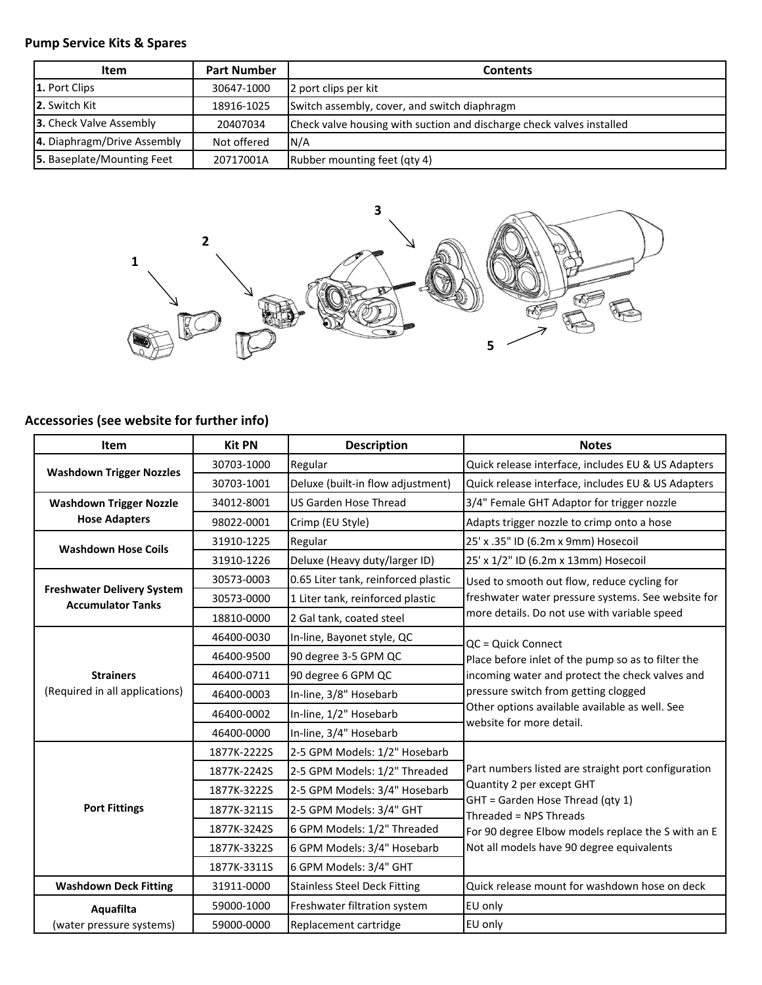# **Pump Service Kits & Spares**

| <b>Item</b>                 | <b>Part Number</b> | <b>Contents</b>                                                       |
|-----------------------------|--------------------|-----------------------------------------------------------------------|
| 1. Port Clips               | 30647-1000         | 2 port clips per kit                                                  |
| 2. Switch Kit               | 18916-1025         | Switch assembly, cover, and switch diaphragm                          |
| 3. Check Valve Assembly     | 20407034           | Check valve housing with suction and discharge check valves installed |
| 4. Diaphragm/Drive Assembly | Not offered        | N/A                                                                   |
| 5. Baseplate/Mounting Feet  | 20717001A          | Rubber mounting feet (qty 4)                                          |



# **Accessories (see website for further info)**

| Item                                                          | <b>Kit PN</b> | <b>Description</b>                  | <b>Notes</b>                                                               |
|---------------------------------------------------------------|---------------|-------------------------------------|----------------------------------------------------------------------------|
| <b>Washdown Trigger Nozzles</b>                               | 30703-1000    | Regular                             | Quick release interface, includes EU & US Adapters                         |
|                                                               | 30703-1001    | Deluxe (built-in flow adjustment)   | Quick release interface, includes EU & US Adapters                         |
| <b>Washdown Trigger Nozzle</b>                                | 34012-8001    | <b>US Garden Hose Thread</b>        | 3/4" Female GHT Adaptor for trigger nozzle                                 |
| <b>Hose Adapters</b>                                          | 98022-0001    | Crimp (EU Style)                    | Adapts trigger nozzle to crimp onto a hose                                 |
| <b>Washdown Hose Coils</b>                                    | 31910-1225    | Regular                             | 25' x .35" ID (6.2m x 9mm) Hosecoil                                        |
|                                                               | 31910-1226    | Deluxe (Heavy duty/larger ID)       | 25' x 1/2" ID (6.2m x 13mm) Hosecoil                                       |
|                                                               | 30573-0003    | 0.65 Liter tank, reinforced plastic | Used to smooth out flow, reduce cycling for                                |
| <b>Freshwater Delivery System</b><br><b>Accumulator Tanks</b> | 30573-0000    | 1 Liter tank, reinforced plastic    | freshwater water pressure systems. See website for                         |
|                                                               | 18810-0000    | 2 Gal tank, coated steel            | more details. Do not use with variable speed                               |
|                                                               | 46400-0030    | In-line, Bayonet style, QC          | QC = Quick Connect                                                         |
|                                                               | 46400-9500    | 90 degree 3-5 GPM QC                | Place before inlet of the pump so as to filter the                         |
| <b>Strainers</b>                                              | 46400-0711    | 90 degree 6 GPM QC                  | incoming water and protect the check valves and                            |
| (Required in all applications)                                | 46400-0003    | In-line, 3/8" Hosebarb              | pressure switch from getting clogged                                       |
|                                                               | 46400-0002    | In-line, 1/2" Hosebarb              | Other options available available as well. See<br>website for more detail. |
|                                                               | 46400-0000    | In-line, 3/4" Hosebarb              |                                                                            |
|                                                               | 1877K-2222S   | 2-5 GPM Models: 1/2" Hosebarb       |                                                                            |
|                                                               | 1877K-2242S   | 2-5 GPM Models: 1/2" Threaded       | Part numbers listed are straight port configuration                        |
|                                                               | 1877K-3222S   | 2-5 GPM Models: 3/4" Hosebarb       | Quantity 2 per except GHT                                                  |
| <b>Port Fittings</b>                                          | 1877K-3211S   | 2-5 GPM Models: 3/4" GHT            | GHT = Garden Hose Thread (qty 1)<br>Threaded = NPS Threads                 |
|                                                               | 1877K-3242S   | 6 GPM Models: 1/2" Threaded         | For 90 degree Elbow models replace the S with an E                         |
|                                                               | 1877K-3322S   | 6 GPM Models: 3/4" Hosebarb         | Not all models have 90 degree equivalents                                  |
|                                                               | 1877K-3311S   | 6 GPM Models: 3/4" GHT              |                                                                            |
| <b>Washdown Deck Fitting</b>                                  | 31911-0000    | <b>Stainless Steel Deck Fitting</b> | Quick release mount for washdown hose on deck                              |
| Aquafilta                                                     | 59000-1000    | Freshwater filtration system        | EU only                                                                    |
| (water pressure systems)                                      | 59000-0000    | Replacement cartridge               | EU only                                                                    |